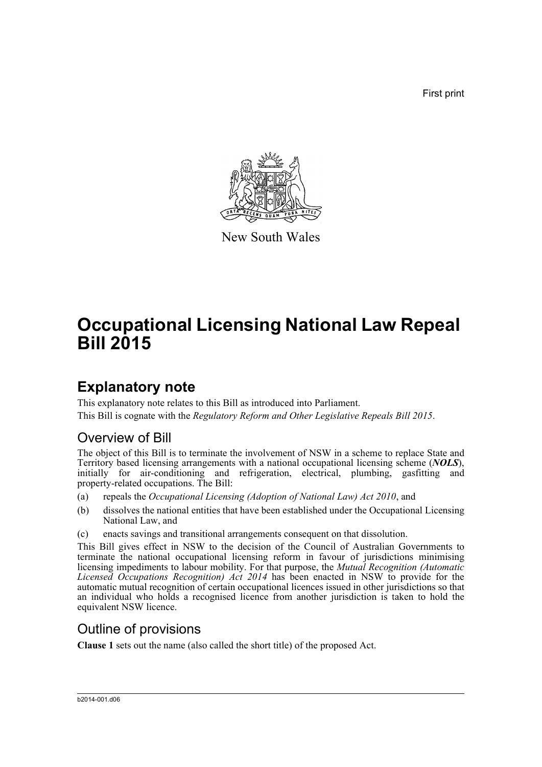First print



New South Wales

# **Occupational Licensing National Law Repeal Bill 2015**

## **Explanatory note**

This explanatory note relates to this Bill as introduced into Parliament. This Bill is cognate with the *Regulatory Reform and Other Legislative Repeals Bill 2015*.

#### Overview of Bill

The object of this Bill is to terminate the involvement of NSW in a scheme to replace State and Territory based licensing arrangements with a national occupational licensing scheme (*NOLS*), initially for air-conditioning and refrigeration, electrical, plumbing, gasfitting and property-related occupations. The Bill:

- (a) repeals the *Occupational Licensing (Adoption of National Law) Act 2010*, and
- (b) dissolves the national entities that have been established under the Occupational Licensing National Law, and
- (c) enacts savings and transitional arrangements consequent on that dissolution.

This Bill gives effect in NSW to the decision of the Council of Australian Governments to terminate the national occupational licensing reform in favour of jurisdictions minimising licensing impediments to labour mobility. For that purpose, the *Mutual Recognition (Automatic Licensed Occupations Recognition) Act 2014* has been enacted in NSW to provide for the automatic mutual recognition of certain occupational licences issued in other jurisdictions so that an individual who holds a recognised licence from another jurisdiction is taken to hold the equivalent NSW licence.

#### Outline of provisions

**Clause 1** sets out the name (also called the short title) of the proposed Act.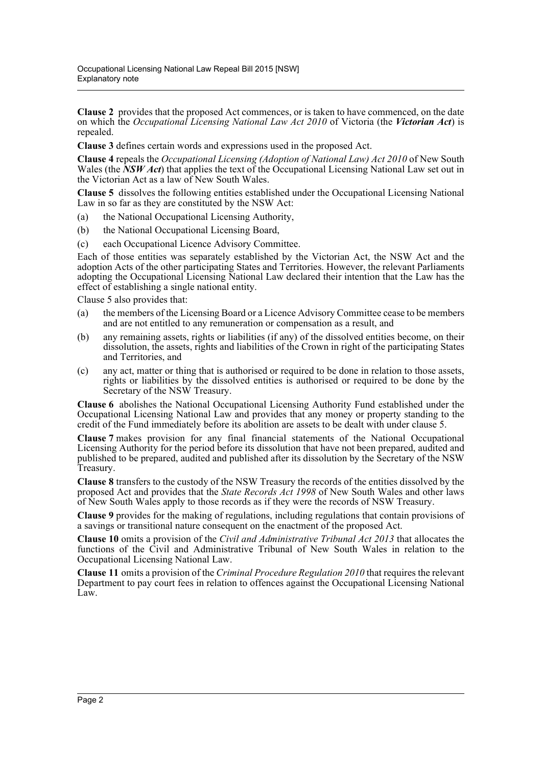**Clause 2** provides that the proposed Act commences, or is taken to have commenced, on the date on which the *Occupational Licensing National Law Act 2010* of Victoria (the *Victorian Act*) is repealed.

**Clause 3** defines certain words and expressions used in the proposed Act.

**Clause 4** repeals the *Occupational Licensing (Adoption of National Law) Act 2010* of New South Wales (the *NSW Act*) that applies the text of the Occupational Licensing National Law set out in the Victorian Act as a law of New South Wales.

**Clause 5** dissolves the following entities established under the Occupational Licensing National Law in so far as they are constituted by the NSW Act:

- (a) the National Occupational Licensing Authority,
- (b) the National Occupational Licensing Board,
- (c) each Occupational Licence Advisory Committee.

Each of those entities was separately established by the Victorian Act, the NSW Act and the adoption Acts of the other participating States and Territories. However, the relevant Parliaments adopting the Occupational Licensing National Law declared their intention that the Law has the effect of establishing a single national entity.

Clause 5 also provides that:

- (a) the members of the Licensing Board or a Licence Advisory Committee cease to be members and are not entitled to any remuneration or compensation as a result, and
- (b) any remaining assets, rights or liabilities (if any) of the dissolved entities become, on their dissolution, the assets, rights and liabilities of the Crown in right of the participating States and Territories, and
- (c) any act, matter or thing that is authorised or required to be done in relation to those assets, rights or liabilities by the dissolved entities is authorised or required to be done by the Secretary of the NSW Treasury.

**Clause 6** abolishes the National Occupational Licensing Authority Fund established under the Occupational Licensing National Law and provides that any money or property standing to the credit of the Fund immediately before its abolition are assets to be dealt with under clause 5.

**Clause 7** makes provision for any final financial statements of the National Occupational Licensing Authority for the period before its dissolution that have not been prepared, audited and published to be prepared, audited and published after its dissolution by the Secretary of the NSW Treasury.

**Clause 8** transfers to the custody of the NSW Treasury the records of the entities dissolved by the proposed Act and provides that the *State Records Act 1998* of New South Wales and other laws of New South Wales apply to those records as if they were the records of NSW Treasury.

**Clause 9** provides for the making of regulations, including regulations that contain provisions of a savings or transitional nature consequent on the enactment of the proposed Act.

**Clause 10** omits a provision of the *Civil and Administrative Tribunal Act 2013* that allocates the functions of the Civil and Administrative Tribunal of New South Wales in relation to the Occupational Licensing National Law.

**Clause 11** omits a provision of the *Criminal Procedure Regulation 2010* that requires the relevant Department to pay court fees in relation to offences against the Occupational Licensing National Law.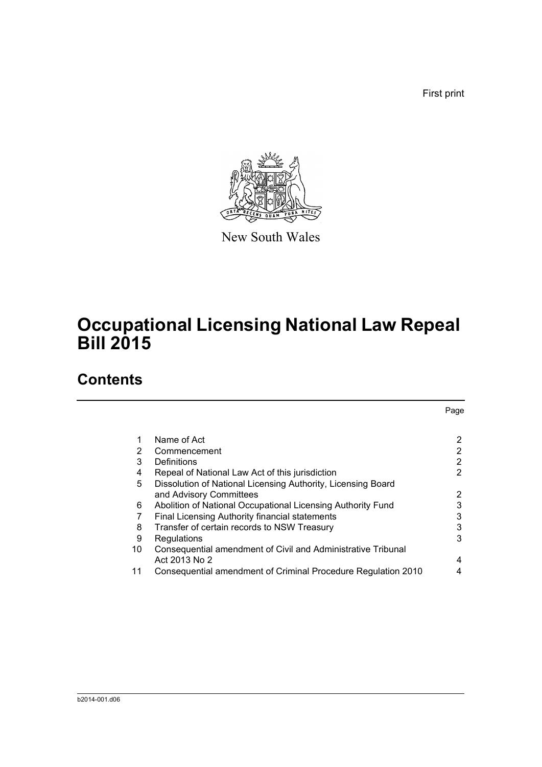First print

Page



New South Wales

# **Occupational Licensing National Law Repeal Bill 2015**

### **Contents**

| 1. | Name of Act                                                   | 2              |
|----|---------------------------------------------------------------|----------------|
| 2  | Commencement                                                  | 2              |
| 3  | Definitions                                                   | $\overline{2}$ |
| 4  | Repeal of National Law Act of this jurisdiction               | 2              |
| 5  | Dissolution of National Licensing Authority, Licensing Board  |                |
|    | and Advisory Committees                                       | 2              |
| 6  | Abolition of National Occupational Licensing Authority Fund   | 3              |
|    | Final Licensing Authority financial statements                | 3              |
| 8  | Transfer of certain records to NSW Treasury                   | 3              |
| 9  | Regulations                                                   | 3              |
| 10 | Consequential amendment of Civil and Administrative Tribunal  |                |
|    | Act 2013 No 2                                                 | 4              |
| 11 | Consequential amendment of Criminal Procedure Regulation 2010 | 4              |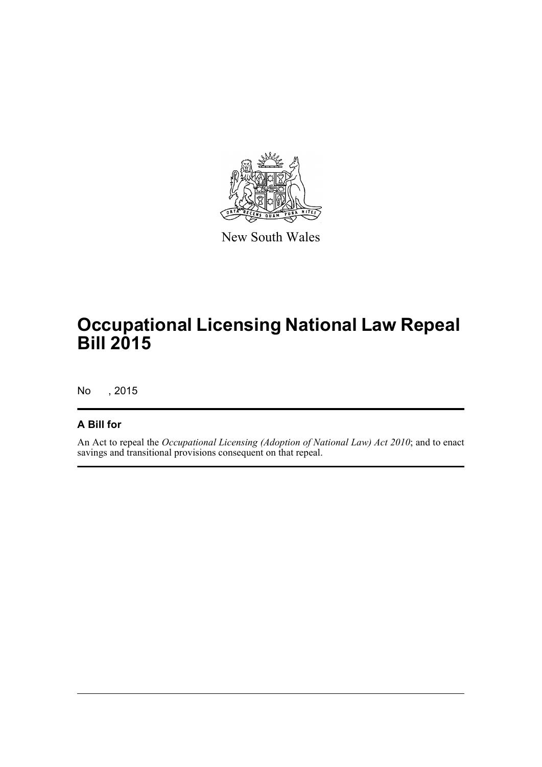

New South Wales

# **Occupational Licensing National Law Repeal Bill 2015**

No , 2015

#### **A Bill for**

An Act to repeal the *Occupational Licensing (Adoption of National Law) Act 2010*; and to enact savings and transitional provisions consequent on that repeal.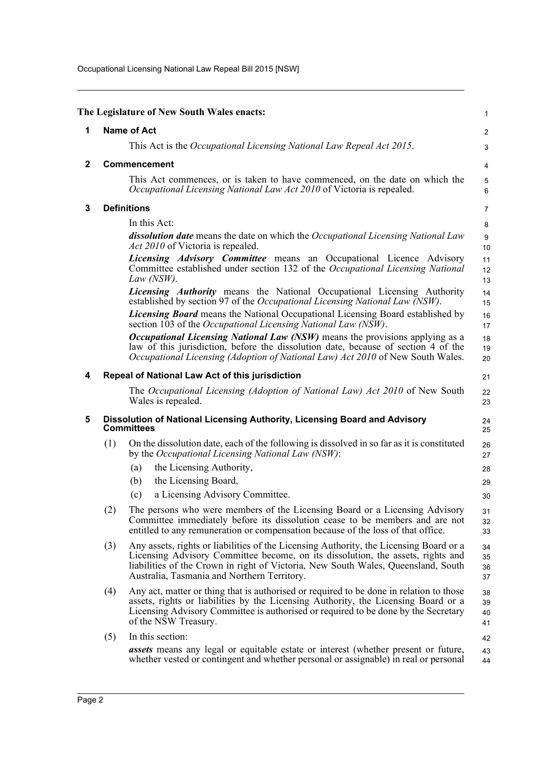Occupational Licensing National Law Repeal Bill 2015 [NSW]

<span id="page-4-4"></span><span id="page-4-3"></span><span id="page-4-2"></span><span id="page-4-1"></span><span id="page-4-0"></span>

|              |     | The Legislature of New South Wales enacts:                                                                                                                                                                                                                                                                    | 1                    |
|--------------|-----|---------------------------------------------------------------------------------------------------------------------------------------------------------------------------------------------------------------------------------------------------------------------------------------------------------------|----------------------|
| 1            |     | <b>Name of Act</b>                                                                                                                                                                                                                                                                                            | 2                    |
|              |     | This Act is the Occupational Licensing National Law Repeal Act 2015.                                                                                                                                                                                                                                          | 3                    |
| $\mathbf{2}$ |     | <b>Commencement</b>                                                                                                                                                                                                                                                                                           | 4                    |
|              |     | This Act commences, or is taken to have commenced, on the date on which the<br>Occupational Licensing National Law Act 2010 of Victoria is repealed.                                                                                                                                                          | 5<br>6               |
| 3            |     | <b>Definitions</b>                                                                                                                                                                                                                                                                                            | 7                    |
|              |     | In this Act:                                                                                                                                                                                                                                                                                                  | 8                    |
|              |     | dissolution date means the date on which the Occupational Licensing National Law<br><i>Act 2010</i> of Victoria is repealed.                                                                                                                                                                                  | 9<br>10              |
|              |     | <i>Licensing Advisory Committee</i> means an Occupational Licence Advisory<br>Committee established under section 132 of the Occupational Licensing National<br>Law $(NSW)$ .                                                                                                                                 | 11<br>12<br>13       |
|              |     | <i>Licensing Authority</i> means the National Occupational Licensing Authority<br>established by section 97 of the Occupational Licensing National Law (NSW).                                                                                                                                                 | 14<br>15             |
|              |     | <i>Licensing Board</i> means the National Occupational Licensing Board established by<br>section 103 of the <i>Occupational Licensing National Law (NSW)</i> .                                                                                                                                                | 16<br>17             |
|              |     | <i>Occupational Licensing National Law (NSW)</i> means the provisions applying as a<br>law of this jurisdiction, before the dissolution date, because of section 4 of the<br><i>Occupational Licensing (Adoption of National Law) Act 2010</i> of New South Wales.                                            | 18<br>19<br>20       |
| 4            |     | Repeal of National Law Act of this jurisdiction                                                                                                                                                                                                                                                               | 21                   |
|              |     | The Occupational Licensing (Adoption of National Law) Act 2010 of New South<br>Wales is repealed.                                                                                                                                                                                                             | 22<br>23             |
| 5            |     | Dissolution of National Licensing Authority, Licensing Board and Advisory<br><b>Committees</b>                                                                                                                                                                                                                | 24<br>25             |
|              | (1) | On the dissolution date, each of the following is dissolved in so far as it is constituted<br>by the Occupational Licensing National Law (NSW):                                                                                                                                                               | 26<br>27             |
|              |     | the Licensing Authority,<br>(a)                                                                                                                                                                                                                                                                               | 28                   |
|              |     | (b)<br>the Licensing Board,                                                                                                                                                                                                                                                                                   | 29                   |
|              |     | a Licensing Advisory Committee.<br>(c)                                                                                                                                                                                                                                                                        | 30                   |
|              | (2) | The persons who were members of the Licensing Board or a Licensing Advisory<br>Committee immediately before its dissolution cease to be members and are not<br>entitled to any remuneration or compensation because of the loss of that office.                                                               | 31<br>32<br>33       |
|              | (3) | Any assets, rights or liabilities of the Licensing Authority, the Licensing Board or a<br>Licensing Advisory Committee become, on its dissolution, the assets, rights and<br>liabilities of the Crown in right of Victoria, New South Wales, Queensland, South<br>Australia, Tasmania and Northern Territory. | 34<br>35<br>36<br>37 |
|              | (4) | Any act, matter or thing that is authorised or required to be done in relation to those<br>assets, rights or liabilities by the Licensing Authority, the Licensing Board or a<br>Licensing Advisory Committee is authorised or required to be done by the Secretary<br>of the NSW Treasury.                   | 38<br>39<br>40<br>41 |
|              | (5) | In this section:                                                                                                                                                                                                                                                                                              | 42                   |
|              |     |                                                                                                                                                                                                                                                                                                               |                      |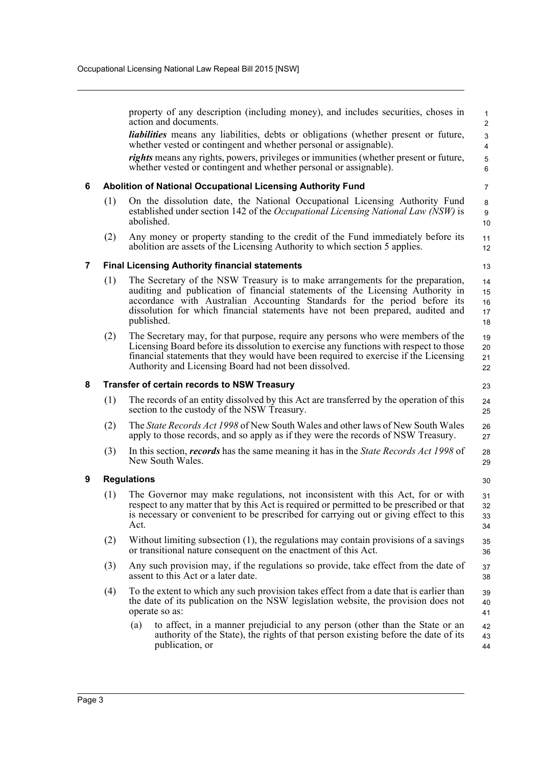<span id="page-5-3"></span><span id="page-5-2"></span><span id="page-5-1"></span><span id="page-5-0"></span>property of any description (including money), and includes securities, choses in action and documents. *liabilities* means any liabilities, debts or obligations (whether present or future, whether vested or contingent and whether personal or assignable). *rights* means any rights, powers, privileges or immunities (whether present or future, whether vested or contingent and whether personal or assignable). **6 Abolition of National Occupational Licensing Authority Fund** (1) On the dissolution date, the National Occupational Licensing Authority Fund established under section 142 of the *Occupational Licensing National Law (NSW)* is abolished. (2) Any money or property standing to the credit of the Fund immediately before its abolition are assets of the Licensing Authority to which section 5 applies. **7 Final Licensing Authority financial statements** (1) The Secretary of the NSW Treasury is to make arrangements for the preparation, auditing and publication of financial statements of the Licensing Authority in accordance with Australian Accounting Standards for the period before its dissolution for which financial statements have not been prepared, audited and published. (2) The Secretary may, for that purpose, require any persons who were members of the Licensing Board before its dissolution to exercise any functions with respect to those financial statements that they would have been required to exercise if the Licensing Authority and Licensing Board had not been dissolved. **8 Transfer of certain records to NSW Treasury** (1) The records of an entity dissolved by this Act are transferred by the operation of this section to the custody of the NSW Treasury. (2) The *State Records Act 1998* of New South Wales and other laws of New South Wales apply to those records, and so apply as if they were the records of NSW Treasury. (3) In this section, *records* has the same meaning it has in the *State Records Act 1998* of New South Wales. **9 Regulations** (1) The Governor may make regulations, not inconsistent with this Act, for or with respect to any matter that by this Act is required or permitted to be prescribed or that is necessary or convenient to be prescribed for carrying out or giving effect to this Act. (2) Without limiting subsection (1), the regulations may contain provisions of a savings or transitional nature consequent on the enactment of this Act. (3) Any such provision may, if the regulations so provide, take effect from the date of assent to this Act or a later date. (4) To the extent to which any such provision takes effect from a date that is earlier than the date of its publication on the NSW legislation website, the provision does not operate so as: (a) to affect, in a manner prejudicial to any person (other than the State or an authority of the State), the rights of that person existing before the date of its publication, or 1  $\overline{2}$  3 4 5 6 7 8 9 10 11 12 13 14 15 16 17 18 19 20 21 22 23 24 25 26 27 28 29 30 31 32 33 34 35 36 37 38 39 40 41 42 43 44